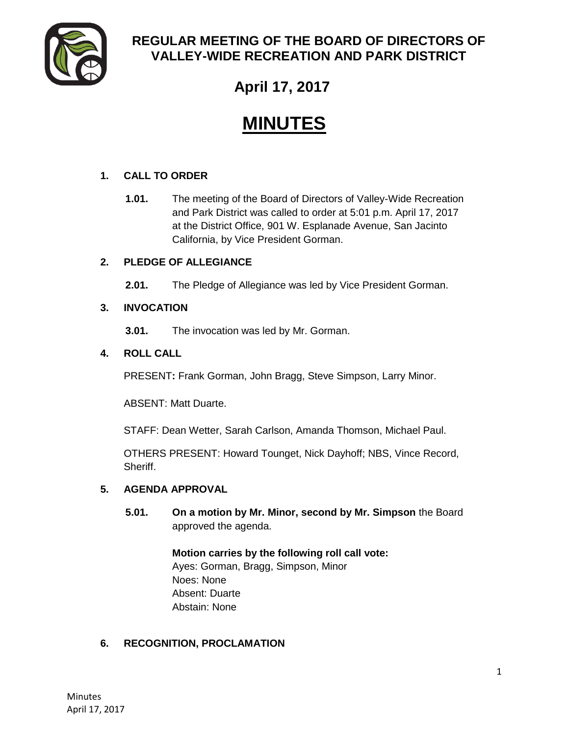

# **REGULAR MEETING OF THE BOARD OF DIRECTORS OF VALLEY-WIDE RECREATION AND PARK DISTRICT**

# **April 17, 2017**

# **MINUTES**

# **1. CALL TO ORDER**

**1.01.** The meeting of the Board of Directors of Valley-Wide Recreation and Park District was called to order at 5:01 p.m. April 17, 2017 at the District Office, 901 W. Esplanade Avenue, San Jacinto California, by Vice President Gorman.

# **2. PLEDGE OF ALLEGIANCE**

**2.01.** The Pledge of Allegiance was led by Vice President Gorman.

# **3. INVOCATION**

**3.01.** The invocation was led by Mr. Gorman.

# **4. ROLL CALL**

PRESENT**:** Frank Gorman, John Bragg, Steve Simpson, Larry Minor.

ABSENT: Matt Duarte.

STAFF: Dean Wetter, Sarah Carlson, Amanda Thomson, Michael Paul.

OTHERS PRESENT: Howard Tounget, Nick Dayhoff; NBS, Vince Record, Sheriff.

# **5. AGENDA APPROVAL**

**5.01. On a motion by Mr. Minor, second by Mr. Simpson** the Board approved the agenda.

> **Motion carries by the following roll call vote:**  Ayes: Gorman, Bragg, Simpson, Minor Noes: None Absent: Duarte Abstain: None

# **6. RECOGNITION, PROCLAMATION**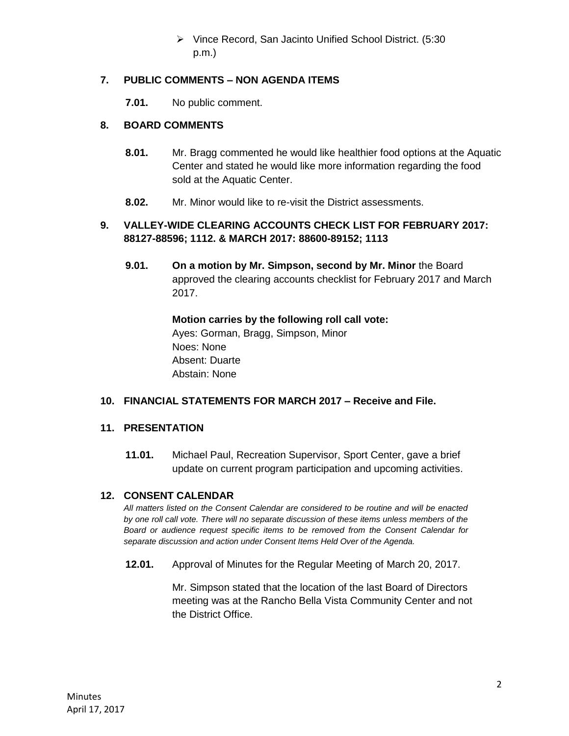Vince Record, San Jacinto Unified School District. (5:30 p.m.)

# **7. PUBLIC COMMENTS – NON AGENDA ITEMS**

**7.01.** No public comment.

# **8. BOARD COMMENTS**

- **8.01.** Mr. Bragg commented he would like healthier food options at the Aquatic Center and stated he would like more information regarding the food sold at the Aquatic Center.
- **8.02.** Mr. Minor would like to re-visit the District assessments.

# **9. VALLEY-WIDE CLEARING ACCOUNTS CHECK LIST FOR FEBRUARY 2017: 88127-88596; 1112. & MARCH 2017: 88600-89152; 1113**

**9.01. On a motion by Mr. Simpson, second by Mr. Minor** the Board approved the clearing accounts checklist for February 2017 and March 2017.

> **Motion carries by the following roll call vote:**  Ayes: Gorman, Bragg, Simpson, Minor Noes: None Absent: Duarte Abstain: None

# **10. FINANCIAL STATEMENTS FOR MARCH 2017 – Receive and File.**

#### **11. PRESENTATION**

**11.01.** Michael Paul, Recreation Supervisor, Sport Center, gave a brief update on current program participation and upcoming activities.

#### **12. CONSENT CALENDAR**

*All matters listed on the Consent Calendar are considered to be routine and will be enacted by one roll call vote. There will no separate discussion of these items unless members of the Board or audience request specific items to be removed from the Consent Calendar for separate discussion and action under Consent Items Held Over of the Agenda.* 

**12.01.** Approval of Minutes for the Regular Meeting of March 20, 2017.

Mr. Simpson stated that the location of the last Board of Directors meeting was at the Rancho Bella Vista Community Center and not the District Office.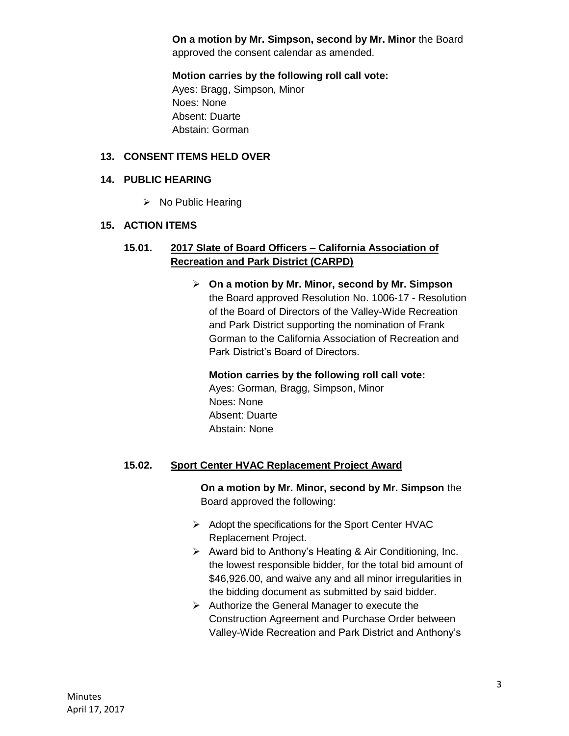**On a motion by Mr. Simpson, second by Mr. Minor** the Board approved the consent calendar as amended.

**Motion carries by the following roll call vote:** 

Ayes: Bragg, Simpson, Minor Noes: None Absent: Duarte Abstain: Gorman

#### **13. CONSENT ITEMS HELD OVER**

#### **14. PUBLIC HEARING**

 $\triangleright$  No Public Hearing

#### **15. ACTION ITEMS**

## **15.01. 2017 Slate of Board Officers – California Association of Recreation and Park District (CARPD)**

 **On a motion by Mr. Minor, second by Mr. Simpson** the Board approved Resolution No. 1006-17 - Resolution of the Board of Directors of the Valley-Wide Recreation and Park District supporting the nomination of Frank Gorman to the California Association of Recreation and Park District's Board of Directors.

# **Motion carries by the following roll call vote:**

Ayes: Gorman, Bragg, Simpson, Minor Noes: None Absent: Duarte Abstain: None

# **15.02. Sport Center HVAC Replacement Project Award**

**On a motion by Mr. Minor, second by Mr. Simpson** the Board approved the following:

- $\triangleright$  Adopt the specifications for the Sport Center HVAC Replacement Project.
- $\triangleright$  Award bid to Anthony's Heating & Air Conditioning, Inc. the lowest responsible bidder, for the total bid amount of \$46,926.00, and waive any and all minor irregularities in the bidding document as submitted by said bidder.
- $\triangleright$  Authorize the General Manager to execute the Construction Agreement and Purchase Order between Valley-Wide Recreation and Park District and Anthony's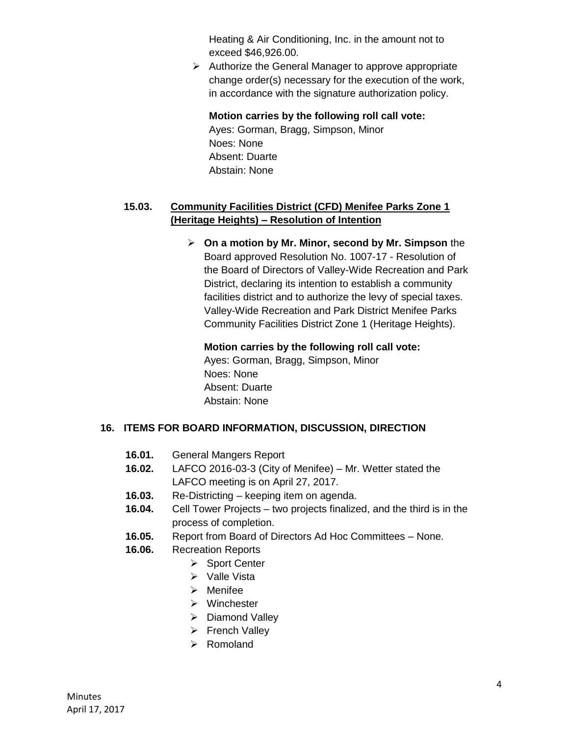Heating & Air Conditioning, Inc. in the amount not to exceed \$46,926.00.

 $\triangleright$  Authorize the General Manager to approve appropriate change order(s) necessary for the execution of the work, in accordance with the signature authorization policy.

# **Motion carries by the following roll call vote:**

Ayes: Gorman, Bragg, Simpson, Minor Noes: None Absent: Duarte Abstain: None

# **15.03. Community Facilities District (CFD) Menifee Parks Zone 1 (Heritage Heights) – Resolution of Intention**

 **On a motion by Mr. Minor, second by Mr. Simpson** the Board approved Resolution No. 1007-17 - Resolution of the Board of Directors of Valley-Wide Recreation and Park District, declaring its intention to establish a community facilities district and to authorize the levy of special taxes. Valley-Wide Recreation and Park District Menifee Parks Community Facilities District Zone 1 (Heritage Heights).

# **Motion carries by the following roll call vote:**

Ayes: Gorman, Bragg, Simpson, Minor Noes: None Absent: Duarte Abstain: None

# **16. ITEMS FOR BOARD INFORMATION, DISCUSSION, DIRECTION**

- **16.01.** General Mangers Report
- **16.02.** LAFCO 2016-03-3 (City of Menifee) Mr. Wetter stated the LAFCO meeting is on April 27, 2017.
- **16.03.** Re-Districting keeping item on agenda.
- **16.04.** Cell Tower Projects two projects finalized, and the third is in the process of completion.
- **16.05.** Report from Board of Directors Ad Hoc Committees None.
- **16.06.** Recreation Reports
	- ▶ Sport Center
	- $\triangleright$  Valle Vista
	- $\triangleright$  Menifee
	- Winchester
	- > Diamond Valley
	- **French Valley**
	- $\triangleright$  Romoland